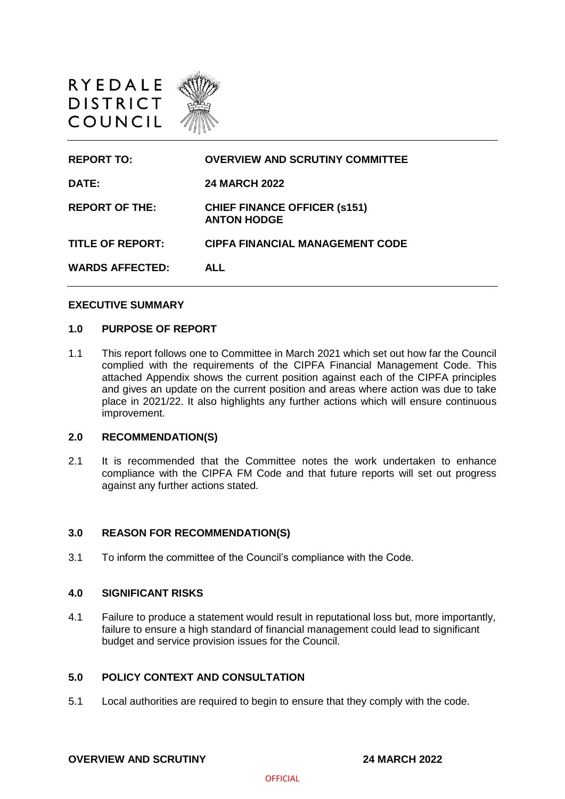

| <b>REPORT TO:</b>       | <b>OVERVIEW AND SCRUTINY COMMITTEE</b>                    |
|-------------------------|-----------------------------------------------------------|
| DATE:                   | <b>24 MARCH 2022</b>                                      |
| <b>REPORT OF THE:</b>   | <b>CHIEF FINANCE OFFICER (s151)</b><br><b>ANTON HODGE</b> |
| <b>TITLE OF REPORT:</b> | <b>CIPFA FINANCIAL MANAGEMENT CODE</b>                    |
| <b>WARDS AFFECTED:</b>  | <b>ALL</b>                                                |

#### **EXECUTIVE SUMMARY**

#### **1.0 PURPOSE OF REPORT**

1.1 This report follows one to Committee in March 2021 which set out how far the Council complied with the requirements of the CIPFA Financial Management Code. This attached Appendix shows the current position against each of the CIPFA principles and gives an update on the current position and areas where action was due to take place in 2021/22. It also highlights any further actions which will ensure continuous improvement.

#### **2.0 RECOMMENDATION(S)**

2.1 It is recommended that the Committee notes the work undertaken to enhance compliance with the CIPFA FM Code and that future reports will set out progress against any further actions stated.

#### **3.0 REASON FOR RECOMMENDATION(S)**

3.1 To inform the committee of the Council's compliance with the Code.

### **4.0 SIGNIFICANT RISKS**

4.1 Failure to produce a statement would result in reputational loss but, more importantly, failure to ensure a high standard of financial management could lead to significant budget and service provision issues for the Council.

### **5.0 POLICY CONTEXT AND CONSULTATION**

5.1 Local authorities are required to begin to ensure that they comply with the code.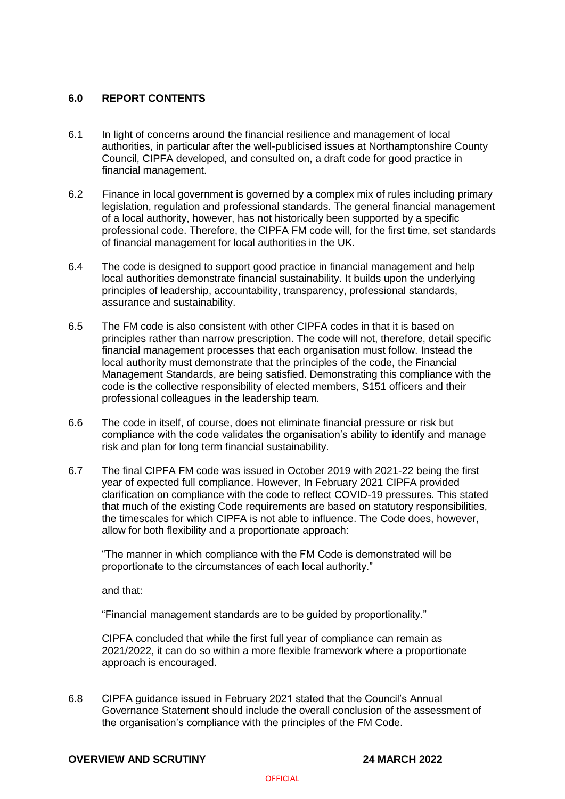# **6.0 REPORT CONTENTS**

- 6.1 In light of concerns around the financial resilience and management of local authorities, in particular after the well-publicised issues at Northamptonshire County Council, CIPFA developed, and consulted on, a draft code for good practice in financial management.
- 6.2 Finance in local government is governed by a complex mix of rules including primary legislation, regulation and professional standards. The general financial management of a local authority, however, has not historically been supported by a specific professional code. Therefore, the CIPFA FM code will, for the first time, set standards of financial management for local authorities in the UK.
- 6.4 The code is designed to support good practice in financial management and help local authorities demonstrate financial sustainability. It builds upon the underlying principles of leadership, accountability, transparency, professional standards, assurance and sustainability.
- 6.5 The FM code is also consistent with other CIPFA codes in that it is based on principles rather than narrow prescription. The code will not, therefore, detail specific financial management processes that each organisation must follow. Instead the local authority must demonstrate that the principles of the code, the Financial Management Standards, are being satisfied. Demonstrating this compliance with the code is the collective responsibility of elected members, S151 officers and their professional colleagues in the leadership team.
- 6.6 The code in itself, of course, does not eliminate financial pressure or risk but compliance with the code validates the organisation's ability to identify and manage risk and plan for long term financial sustainability.
- 6.7 The final CIPFA FM code was issued in October 2019 with 2021-22 being the first year of expected full compliance. However, In February 2021 CIPFA provided clarification on compliance with the code to reflect COVID-19 pressures. This stated that much of the existing Code requirements are based on statutory responsibilities, the timescales for which CIPFA is not able to influence. The Code does, however, allow for both flexibility and a proportionate approach:

"The manner in which compliance with the FM Code is demonstrated will be proportionate to the circumstances of each local authority."

and that:

"Financial management standards are to be guided by proportionality."

CIPFA concluded that while the first full year of compliance can remain as 2021/2022, it can do so within a more flexible framework where a proportionate approach is encouraged.

6.8 CIPFA guidance issued in February 2021 stated that the Council's Annual Governance Statement should include the overall conclusion of the assessment of the organisation's compliance with the principles of the FM Code.